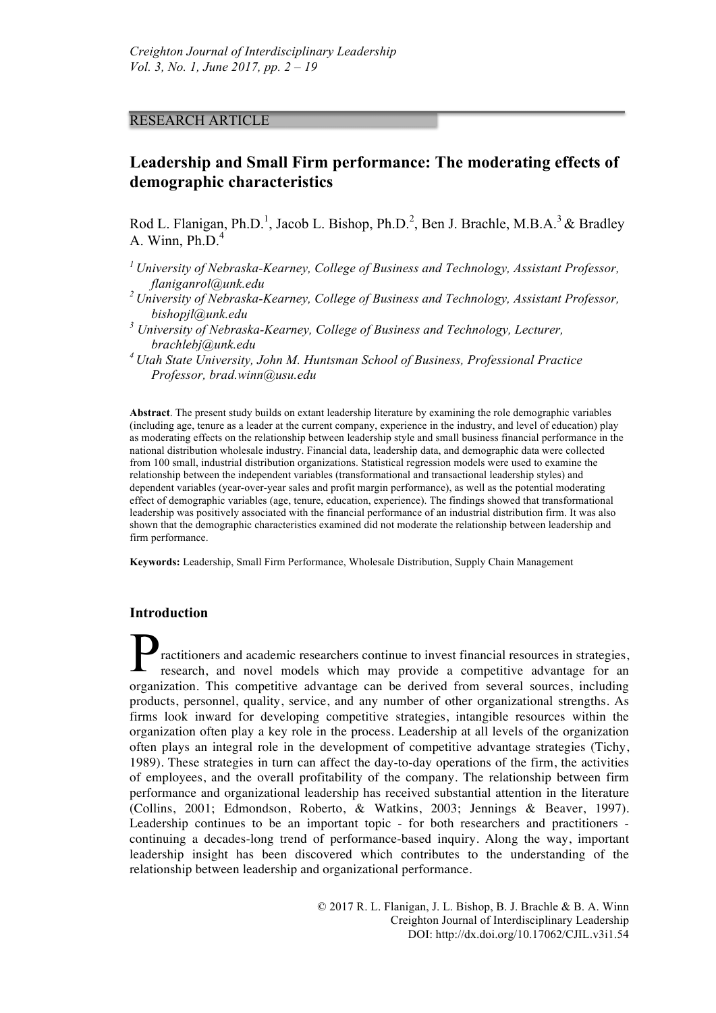## RESEARCH ARTICLE

# **Leadership and Small Firm performance: The moderating effects of demographic characteristics**

Rod L. Flanigan, Ph.D.<sup>1</sup>, Jacob L. Bishop, Ph.D.<sup>2</sup>, Ben J. Brachle, M.B.A.<sup>3</sup> & Bradley A. Winn,  $Ph.D.<sup>4</sup>$ 

- *1 University of Nebraska-Kearney, College of Business and Technology, Assistant Professor, flaniganrol@unk.edu*
- *2 University of Nebraska-Kearney, College of Business and Technology, Assistant Professor, bishopjl@unk.edu*
- *<sup>3</sup> University of Nebraska-Kearney, College of Business and Technology, Lecturer, brachlebj@unk.edu*
- *4 Utah State University, John M. Huntsman School of Business, Professional Practice Professor, brad.winn@usu.edu*

**Abstract**. The present study builds on extant leadership literature by examining the role demographic variables (including age, tenure as a leader at the current company, experience in the industry, and level of education) play as moderating effects on the relationship between leadership style and small business financial performance in the national distribution wholesale industry. Financial data, leadership data, and demographic data were collected from 100 small, industrial distribution organizations. Statistical regression models were used to examine the relationship between the independent variables (transformational and transactional leadership styles) and dependent variables (year-over-year sales and profit margin performance), as well as the potential moderating effect of demographic variables (age, tenure, education, experience). The findings showed that transformational leadership was positively associated with the financial performance of an industrial distribution firm. It was also shown that the demographic characteristics examined did not moderate the relationship between leadership and firm performance.

**Keywords:** Leadership, Small Firm Performance, Wholesale Distribution, Supply Chain Management

## **Introduction**

ractitioners and academic researchers continue to invest financial resources in strategies, research, and novel models which may provide a competitive advantage for an organization. This competitive advantage can be derived from several sources, including products, personnel, quality, service, and any number of other organizational strengths. As firms look inward for developing competitive strategies, intangible resources within the organization often play a key role in the process. Leadership at all levels of the organization often plays an integral role in the development of competitive advantage strategies (Tichy, 1989). These strategies in turn can affect the day-to-day operations of the firm, the activities of employees, and the overall profitability of the company. The relationship between firm performance and organizational leadership has received substantial attention in the literature (Collins, 2001; Edmondson, Roberto, & Watkins, 2003; Jennings & Beaver, 1997). Leadership continues to be an important topic - for both researchers and practitioners continuing a decades-long trend of performance-based inquiry. Along the way, important leadership insight has been discovered which contributes to the understanding of the relationship between leadership and organizational performance. P

> © 2017 R. L. Flanigan, J. L. Bishop, B. J. Brachle & B. A. Winn Creighton Journal of Interdisciplinary Leadership DOI: http://dx.doi.org/10.17062/CJIL.v3i1.54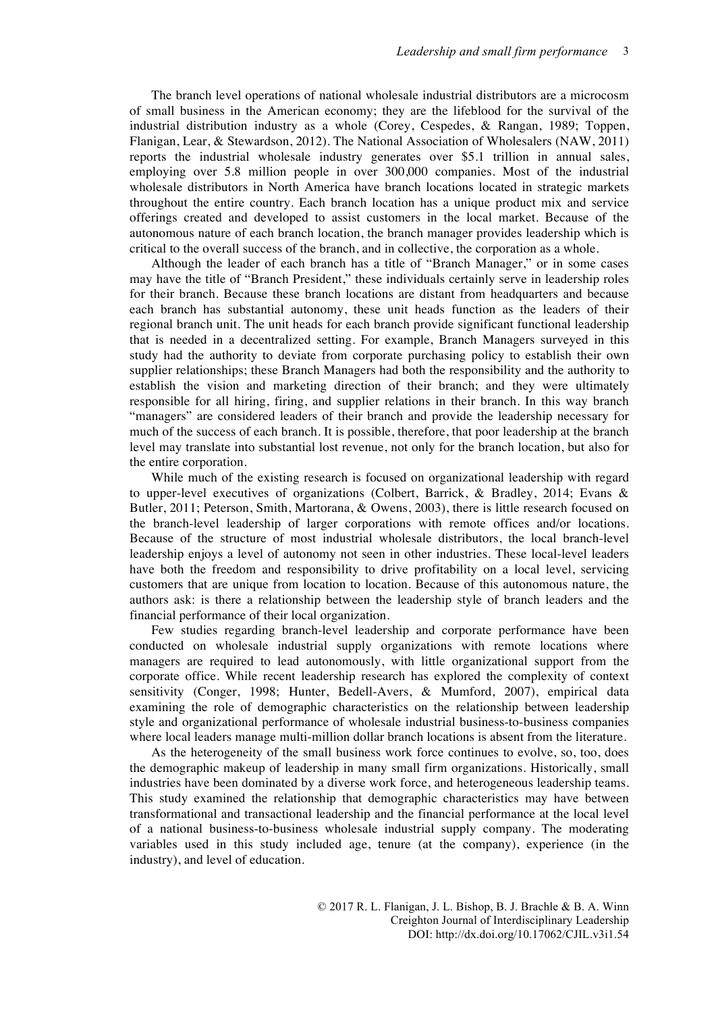The branch level operations of national wholesale industrial distributors are a microcosm of small business in the American economy; they are the lifeblood for the survival of the industrial distribution industry as a whole (Corey, Cespedes, & Rangan, 1989; Toppen, Flanigan, Lear, & Stewardson, 2012). The National Association of Wholesalers (NAW, 2011) reports the industrial wholesale industry generates over \$5.1 trillion in annual sales, employing over 5.8 million people in over 300,000 companies. Most of the industrial wholesale distributors in North America have branch locations located in strategic markets throughout the entire country. Each branch location has a unique product mix and service offerings created and developed to assist customers in the local market. Because of the autonomous nature of each branch location, the branch manager provides leadership which is critical to the overall success of the branch, and in collective, the corporation as a whole.

Although the leader of each branch has a title of "Branch Manager," or in some cases may have the title of "Branch President," these individuals certainly serve in leadership roles for their branch. Because these branch locations are distant from headquarters and because each branch has substantial autonomy, these unit heads function as the leaders of their regional branch unit. The unit heads for each branch provide significant functional leadership that is needed in a decentralized setting. For example, Branch Managers surveyed in this study had the authority to deviate from corporate purchasing policy to establish their own supplier relationships; these Branch Managers had both the responsibility and the authority to establish the vision and marketing direction of their branch; and they were ultimately responsible for all hiring, firing, and supplier relations in their branch. In this way branch "managers" are considered leaders of their branch and provide the leadership necessary for much of the success of each branch. It is possible, therefore, that poor leadership at the branch level may translate into substantial lost revenue, not only for the branch location, but also for the entire corporation.

While much of the existing research is focused on organizational leadership with regard to upper-level executives of organizations (Colbert, Barrick, & Bradley, 2014; Evans & Butler, 2011; Peterson, Smith, Martorana, & Owens, 2003), there is little research focused on the branch-level leadership of larger corporations with remote offices and/or locations. Because of the structure of most industrial wholesale distributors, the local branch-level leadership enjoys a level of autonomy not seen in other industries. These local-level leaders have both the freedom and responsibility to drive profitability on a local level, servicing customers that are unique from location to location. Because of this autonomous nature, the authors ask: is there a relationship between the leadership style of branch leaders and the financial performance of their local organization.

Few studies regarding branch-level leadership and corporate performance have been conducted on wholesale industrial supply organizations with remote locations where managers are required to lead autonomously, with little organizational support from the corporate office. While recent leadership research has explored the complexity of context sensitivity (Conger, 1998; Hunter, Bedell-Avers, & Mumford, 2007), empirical data examining the role of demographic characteristics on the relationship between leadership style and organizational performance of wholesale industrial business-to-business companies where local leaders manage multi-million dollar branch locations is absent from the literature.

As the heterogeneity of the small business work force continues to evolve, so, too, does the demographic makeup of leadership in many small firm organizations. Historically, small industries have been dominated by a diverse work force, and heterogeneous leadership teams. This study examined the relationship that demographic characteristics may have between transformational and transactional leadership and the financial performance at the local level of a national business-to-business wholesale industrial supply company. The moderating variables used in this study included age, tenure (at the company), experience (in the industry), and level of education.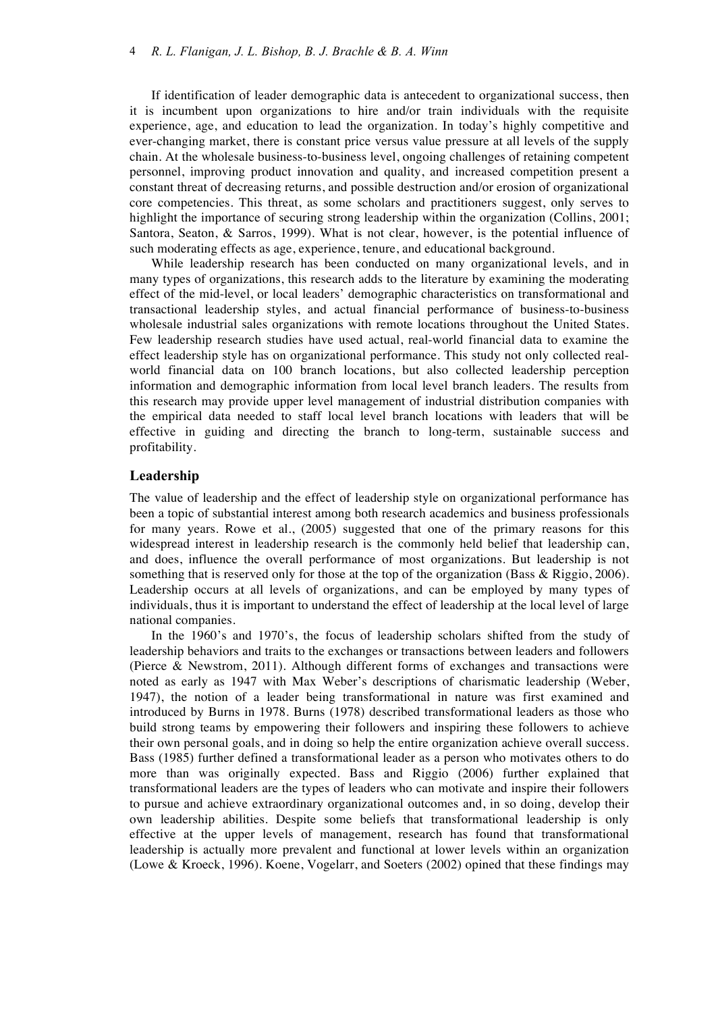If identification of leader demographic data is antecedent to organizational success, then it is incumbent upon organizations to hire and/or train individuals with the requisite experience, age, and education to lead the organization. In today's highly competitive and ever-changing market, there is constant price versus value pressure at all levels of the supply chain. At the wholesale business-to-business level, ongoing challenges of retaining competent personnel, improving product innovation and quality, and increased competition present a constant threat of decreasing returns, and possible destruction and/or erosion of organizational core competencies. This threat, as some scholars and practitioners suggest, only serves to highlight the importance of securing strong leadership within the organization (Collins, 2001; Santora, Seaton, & Sarros, 1999). What is not clear, however, is the potential influence of such moderating effects as age, experience, tenure, and educational background.

While leadership research has been conducted on many organizational levels, and in many types of organizations, this research adds to the literature by examining the moderating effect of the mid-level, or local leaders' demographic characteristics on transformational and transactional leadership styles, and actual financial performance of business-to-business wholesale industrial sales organizations with remote locations throughout the United States. Few leadership research studies have used actual, real-world financial data to examine the effect leadership style has on organizational performance. This study not only collected realworld financial data on 100 branch locations, but also collected leadership perception information and demographic information from local level branch leaders. The results from this research may provide upper level management of industrial distribution companies with the empirical data needed to staff local level branch locations with leaders that will be effective in guiding and directing the branch to long-term, sustainable success and profitability.

## **Leadership**

The value of leadership and the effect of leadership style on organizational performance has been a topic of substantial interest among both research academics and business professionals for many years. Rowe et al., (2005) suggested that one of the primary reasons for this widespread interest in leadership research is the commonly held belief that leadership can, and does, influence the overall performance of most organizations. But leadership is not something that is reserved only for those at the top of the organization (Bass & Riggio, 2006). Leadership occurs at all levels of organizations, and can be employed by many types of individuals, thus it is important to understand the effect of leadership at the local level of large national companies.

In the 1960's and 1970's, the focus of leadership scholars shifted from the study of leadership behaviors and traits to the exchanges or transactions between leaders and followers (Pierce & Newstrom, 2011). Although different forms of exchanges and transactions were noted as early as 1947 with Max Weber's descriptions of charismatic leadership (Weber, 1947), the notion of a leader being transformational in nature was first examined and introduced by Burns in 1978. Burns (1978) described transformational leaders as those who build strong teams by empowering their followers and inspiring these followers to achieve their own personal goals, and in doing so help the entire organization achieve overall success. Bass (1985) further defined a transformational leader as a person who motivates others to do more than was originally expected. Bass and Riggio (2006) further explained that transformational leaders are the types of leaders who can motivate and inspire their followers to pursue and achieve extraordinary organizational outcomes and, in so doing, develop their own leadership abilities. Despite some beliefs that transformational leadership is only effective at the upper levels of management, research has found that transformational leadership is actually more prevalent and functional at lower levels within an organization (Lowe & Kroeck, 1996). Koene, Vogelarr, and Soeters (2002) opined that these findings may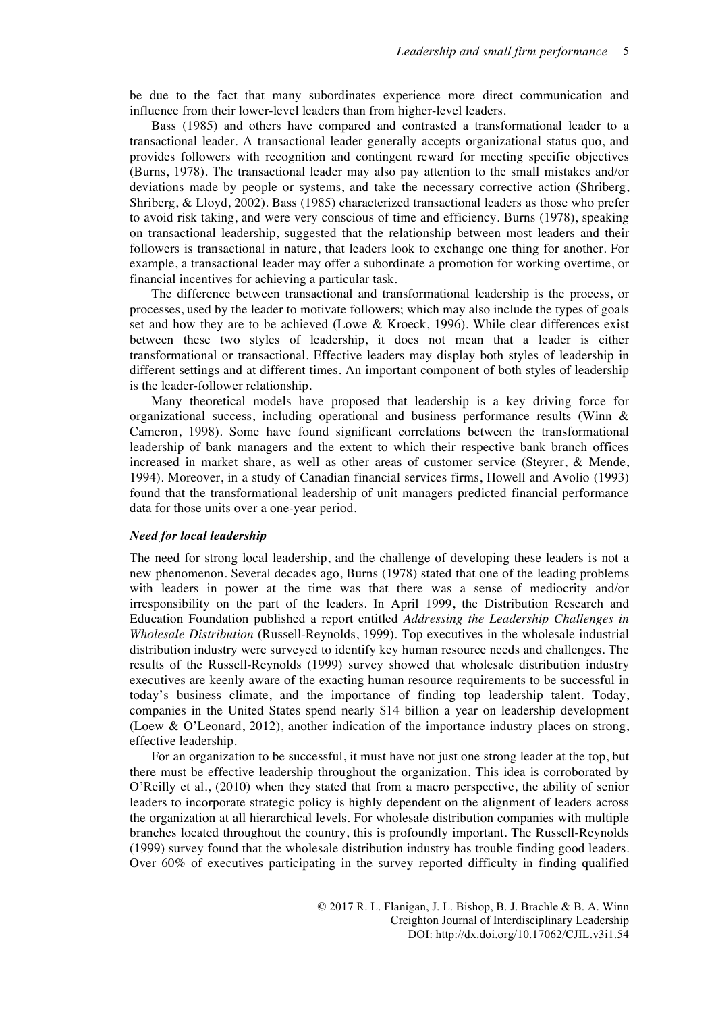be due to the fact that many subordinates experience more direct communication and influence from their lower-level leaders than from higher-level leaders.

Bass (1985) and others have compared and contrasted a transformational leader to a transactional leader. A transactional leader generally accepts organizational status quo, and provides followers with recognition and contingent reward for meeting specific objectives (Burns, 1978). The transactional leader may also pay attention to the small mistakes and/or deviations made by people or systems, and take the necessary corrective action (Shriberg, Shriberg, & Lloyd, 2002). Bass (1985) characterized transactional leaders as those who prefer to avoid risk taking, and were very conscious of time and efficiency. Burns (1978), speaking on transactional leadership, suggested that the relationship between most leaders and their followers is transactional in nature, that leaders look to exchange one thing for another. For example, a transactional leader may offer a subordinate a promotion for working overtime, or financial incentives for achieving a particular task.

The difference between transactional and transformational leadership is the process, or processes, used by the leader to motivate followers; which may also include the types of goals set and how they are to be achieved (Lowe & Kroeck, 1996). While clear differences exist between these two styles of leadership, it does not mean that a leader is either transformational or transactional. Effective leaders may display both styles of leadership in different settings and at different times. An important component of both styles of leadership is the leader-follower relationship.

Many theoretical models have proposed that leadership is a key driving force for organizational success, including operational and business performance results (Winn & Cameron, 1998). Some have found significant correlations between the transformational leadership of bank managers and the extent to which their respective bank branch offices increased in market share, as well as other areas of customer service (Steyrer, & Mende, 1994). Moreover, in a study of Canadian financial services firms, Howell and Avolio (1993) found that the transformational leadership of unit managers predicted financial performance data for those units over a one-year period.

#### *Need for local leadership*

The need for strong local leadership, and the challenge of developing these leaders is not a new phenomenon. Several decades ago, Burns (1978) stated that one of the leading problems with leaders in power at the time was that there was a sense of mediocrity and/or irresponsibility on the part of the leaders. In April 1999, the Distribution Research and Education Foundation published a report entitled *Addressing the Leadership Challenges in Wholesale Distribution* (Russell-Reynolds, 1999). Top executives in the wholesale industrial distribution industry were surveyed to identify key human resource needs and challenges. The results of the Russell-Reynolds (1999) survey showed that wholesale distribution industry executives are keenly aware of the exacting human resource requirements to be successful in today's business climate, and the importance of finding top leadership talent. Today, companies in the United States spend nearly \$14 billion a year on leadership development (Loew & O'Leonard, 2012), another indication of the importance industry places on strong, effective leadership.

For an organization to be successful, it must have not just one strong leader at the top, but there must be effective leadership throughout the organization. This idea is corroborated by O'Reilly et al., (2010) when they stated that from a macro perspective, the ability of senior leaders to incorporate strategic policy is highly dependent on the alignment of leaders across the organization at all hierarchical levels. For wholesale distribution companies with multiple branches located throughout the country, this is profoundly important. The Russell-Reynolds (1999) survey found that the wholesale distribution industry has trouble finding good leaders. Over 60% of executives participating in the survey reported difficulty in finding qualified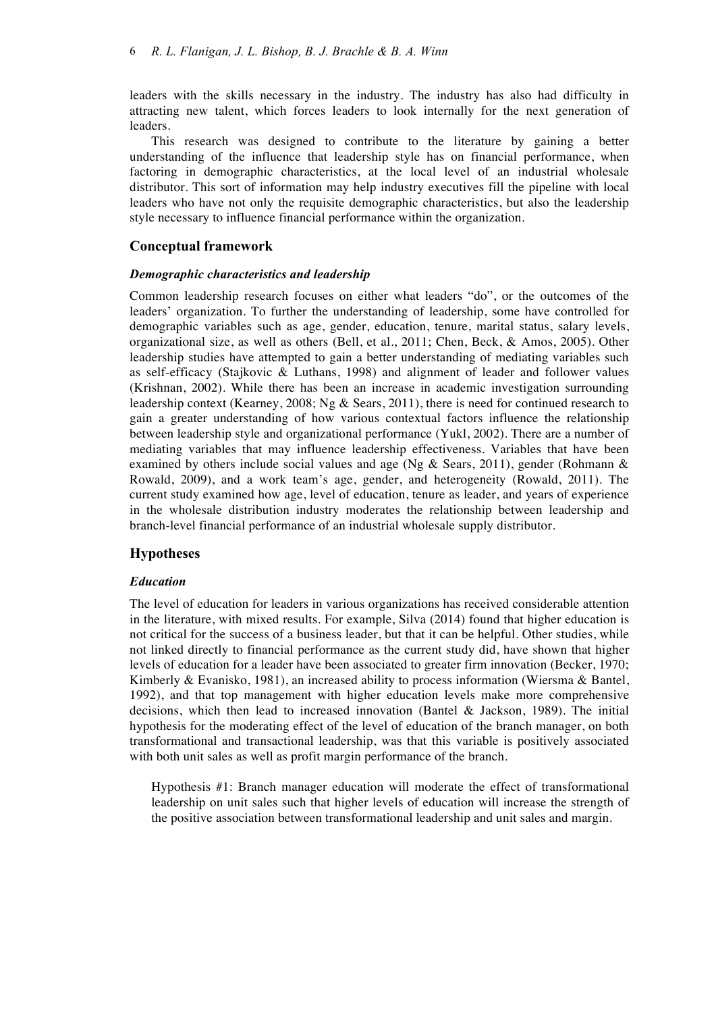leaders with the skills necessary in the industry. The industry has also had difficulty in attracting new talent, which forces leaders to look internally for the next generation of leaders.

This research was designed to contribute to the literature by gaining a better understanding of the influence that leadership style has on financial performance, when factoring in demographic characteristics, at the local level of an industrial wholesale distributor. This sort of information may help industry executives fill the pipeline with local leaders who have not only the requisite demographic characteristics, but also the leadership style necessary to influence financial performance within the organization.

## **Conceptual framework**

#### *Demographic characteristics and leadership*

Common leadership research focuses on either what leaders "do", or the outcomes of the leaders' organization. To further the understanding of leadership, some have controlled for demographic variables such as age, gender, education, tenure, marital status, salary levels, organizational size, as well as others (Bell, et al., 2011; Chen, Beck, & Amos, 2005). Other leadership studies have attempted to gain a better understanding of mediating variables such as self-efficacy (Stajkovic & Luthans, 1998) and alignment of leader and follower values (Krishnan, 2002). While there has been an increase in academic investigation surrounding leadership context (Kearney, 2008; Ng & Sears, 2011), there is need for continued research to gain a greater understanding of how various contextual factors influence the relationship between leadership style and organizational performance (Yukl, 2002). There are a number of mediating variables that may influence leadership effectiveness. Variables that have been examined by others include social values and age (Ng & Sears, 2011), gender (Rohmann & Rowald, 2009), and a work team's age, gender, and heterogeneity (Rowald, 2011). The current study examined how age, level of education, tenure as leader, and years of experience in the wholesale distribution industry moderates the relationship between leadership and branch-level financial performance of an industrial wholesale supply distributor.

## **Hypotheses**

## *Education*

The level of education for leaders in various organizations has received considerable attention in the literature, with mixed results. For example, Silva (2014) found that higher education is not critical for the success of a business leader, but that it can be helpful. Other studies, while not linked directly to financial performance as the current study did, have shown that higher levels of education for a leader have been associated to greater firm innovation (Becker, 1970; Kimberly & Evanisko, 1981), an increased ability to process information (Wiersma & Bantel, 1992), and that top management with higher education levels make more comprehensive decisions, which then lead to increased innovation (Bantel & Jackson, 1989). The initial hypothesis for the moderating effect of the level of education of the branch manager, on both transformational and transactional leadership, was that this variable is positively associated with both unit sales as well as profit margin performance of the branch.

Hypothesis #1: Branch manager education will moderate the effect of transformational leadership on unit sales such that higher levels of education will increase the strength of the positive association between transformational leadership and unit sales and margin.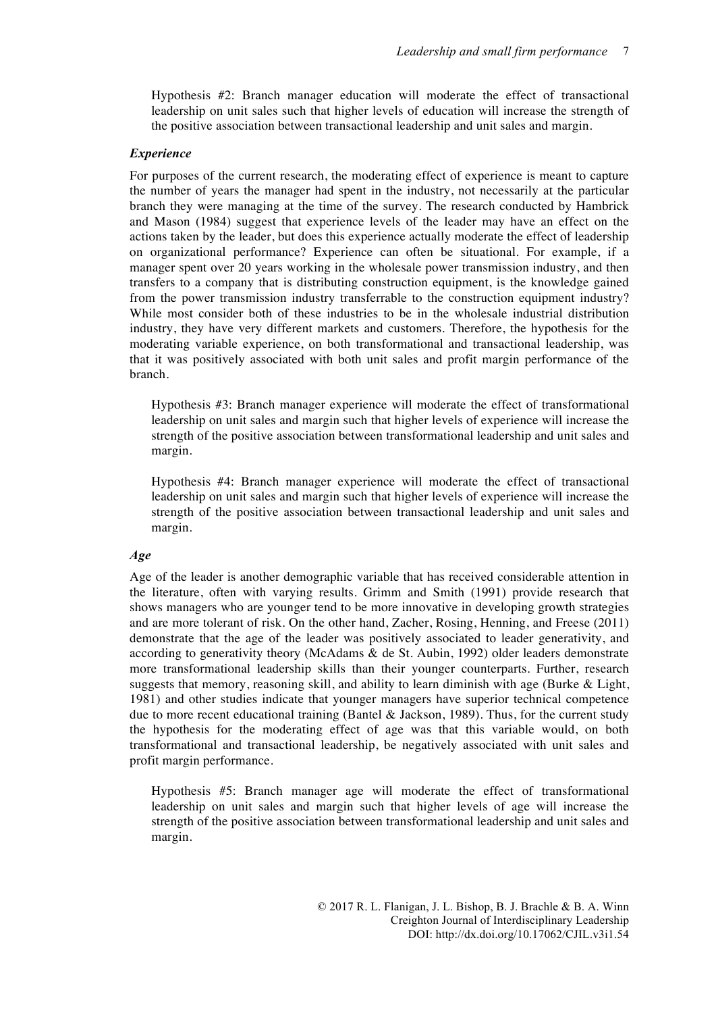Hypothesis #2: Branch manager education will moderate the effect of transactional leadership on unit sales such that higher levels of education will increase the strength of the positive association between transactional leadership and unit sales and margin.

## *Experience*

For purposes of the current research, the moderating effect of experience is meant to capture the number of years the manager had spent in the industry, not necessarily at the particular branch they were managing at the time of the survey. The research conducted by Hambrick and Mason (1984) suggest that experience levels of the leader may have an effect on the actions taken by the leader, but does this experience actually moderate the effect of leadership on organizational performance? Experience can often be situational. For example, if a manager spent over 20 years working in the wholesale power transmission industry, and then transfers to a company that is distributing construction equipment, is the knowledge gained from the power transmission industry transferrable to the construction equipment industry? While most consider both of these industries to be in the wholesale industrial distribution industry, they have very different markets and customers. Therefore, the hypothesis for the moderating variable experience, on both transformational and transactional leadership, was that it was positively associated with both unit sales and profit margin performance of the branch.

Hypothesis #3: Branch manager experience will moderate the effect of transformational leadership on unit sales and margin such that higher levels of experience will increase the strength of the positive association between transformational leadership and unit sales and margin.

Hypothesis #4: Branch manager experience will moderate the effect of transactional leadership on unit sales and margin such that higher levels of experience will increase the strength of the positive association between transactional leadership and unit sales and margin.

## *Age*

Age of the leader is another demographic variable that has received considerable attention in the literature, often with varying results. Grimm and Smith (1991) provide research that shows managers who are younger tend to be more innovative in developing growth strategies and are more tolerant of risk. On the other hand, Zacher, Rosing, Henning, and Freese (2011) demonstrate that the age of the leader was positively associated to leader generativity, and according to generativity theory (McAdams & de St. Aubin, 1992) older leaders demonstrate more transformational leadership skills than their younger counterparts. Further, research suggests that memory, reasoning skill, and ability to learn diminish with age (Burke & Light, 1981) and other studies indicate that younger managers have superior technical competence due to more recent educational training (Bantel & Jackson, 1989). Thus, for the current study the hypothesis for the moderating effect of age was that this variable would, on both transformational and transactional leadership, be negatively associated with unit sales and profit margin performance.

Hypothesis #5: Branch manager age will moderate the effect of transformational leadership on unit sales and margin such that higher levels of age will increase the strength of the positive association between transformational leadership and unit sales and margin.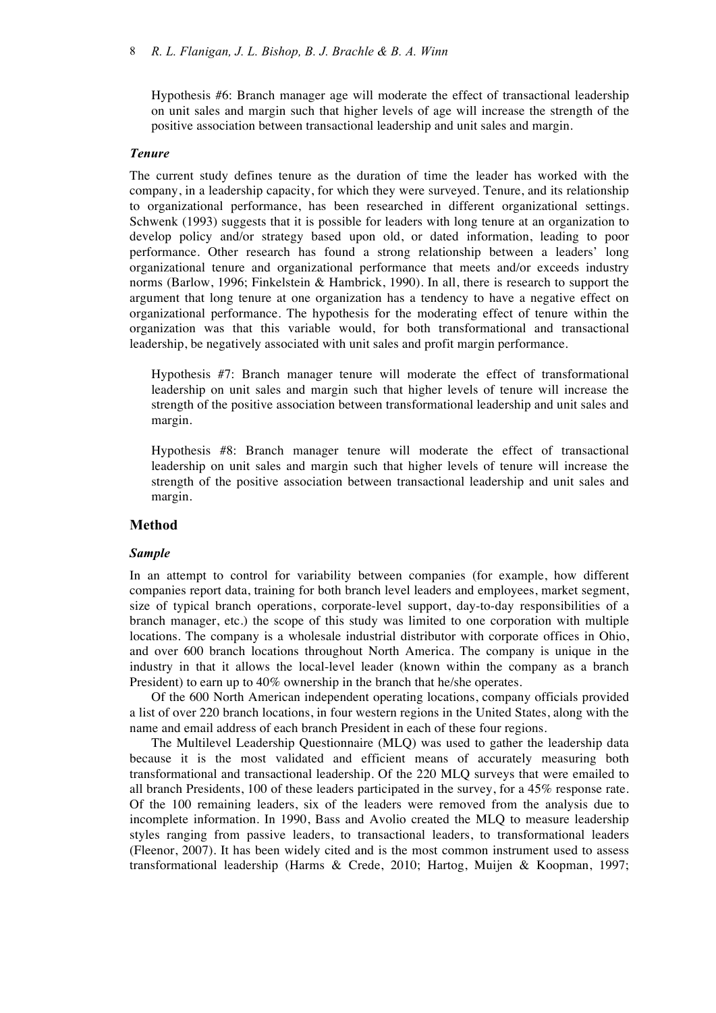Hypothesis #6: Branch manager age will moderate the effect of transactional leadership on unit sales and margin such that higher levels of age will increase the strength of the positive association between transactional leadership and unit sales and margin.

## *Tenure*

The current study defines tenure as the duration of time the leader has worked with the company, in a leadership capacity, for which they were surveyed. Tenure, and its relationship to organizational performance, has been researched in different organizational settings. Schwenk (1993) suggests that it is possible for leaders with long tenure at an organization to develop policy and/or strategy based upon old, or dated information, leading to poor performance. Other research has found a strong relationship between a leaders' long organizational tenure and organizational performance that meets and/or exceeds industry norms (Barlow, 1996; Finkelstein & Hambrick, 1990). In all, there is research to support the argument that long tenure at one organization has a tendency to have a negative effect on organizational performance. The hypothesis for the moderating effect of tenure within the organization was that this variable would, for both transformational and transactional leadership, be negatively associated with unit sales and profit margin performance.

Hypothesis #7: Branch manager tenure will moderate the effect of transformational leadership on unit sales and margin such that higher levels of tenure will increase the strength of the positive association between transformational leadership and unit sales and margin.

Hypothesis #8: Branch manager tenure will moderate the effect of transactional leadership on unit sales and margin such that higher levels of tenure will increase the strength of the positive association between transactional leadership and unit sales and margin.

## **Method**

## *Sample*

In an attempt to control for variability between companies (for example, how different companies report data, training for both branch level leaders and employees, market segment, size of typical branch operations, corporate-level support, day-to-day responsibilities of a branch manager, etc.) the scope of this study was limited to one corporation with multiple locations. The company is a wholesale industrial distributor with corporate offices in Ohio, and over 600 branch locations throughout North America. The company is unique in the industry in that it allows the local-level leader (known within the company as a branch President) to earn up to 40% ownership in the branch that he/she operates.

Of the 600 North American independent operating locations, company officials provided a list of over 220 branch locations, in four western regions in the United States, along with the name and email address of each branch President in each of these four regions.

The Multilevel Leadership Questionnaire (MLQ) was used to gather the leadership data because it is the most validated and efficient means of accurately measuring both transformational and transactional leadership. Of the 220 MLQ surveys that were emailed to all branch Presidents, 100 of these leaders participated in the survey, for a 45% response rate. Of the 100 remaining leaders, six of the leaders were removed from the analysis due to incomplete information. In 1990, Bass and Avolio created the MLQ to measure leadership styles ranging from passive leaders, to transactional leaders, to transformational leaders (Fleenor, 2007). It has been widely cited and is the most common instrument used to assess transformational leadership (Harms & Crede, 2010; Hartog, Muijen & Koopman, 1997;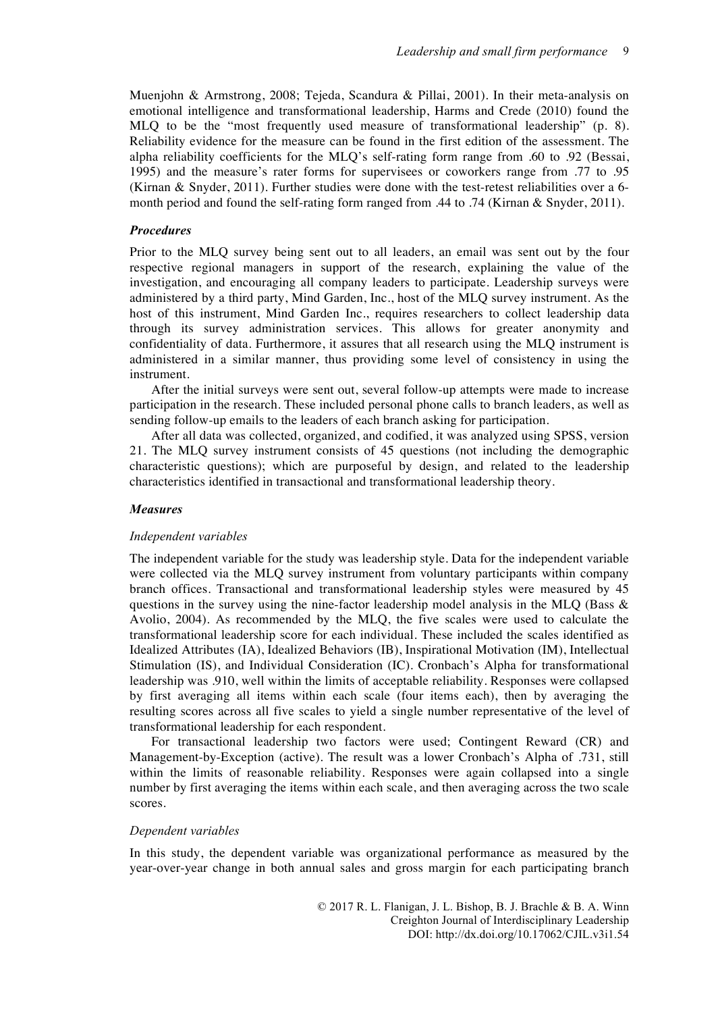Muenjohn & Armstrong, 2008; Tejeda, Scandura & Pillai, 2001). In their meta-analysis on emotional intelligence and transformational leadership, Harms and Crede (2010) found the MLQ to be the "most frequently used measure of transformational leadership" (p. 8). Reliability evidence for the measure can be found in the first edition of the assessment. The alpha reliability coefficients for the MLQ's self-rating form range from .60 to .92 (Bessai, 1995) and the measure's rater forms for supervisees or coworkers range from .77 to .95 (Kirnan & Snyder, 2011). Further studies were done with the test-retest reliabilities over a 6 month period and found the self-rating form ranged from .44 to .74 (Kirnan & Snyder, 2011).

## *Procedures*

Prior to the MLQ survey being sent out to all leaders, an email was sent out by the four respective regional managers in support of the research, explaining the value of the investigation, and encouraging all company leaders to participate. Leadership surveys were administered by a third party, Mind Garden, Inc., host of the MLQ survey instrument. As the host of this instrument, Mind Garden Inc., requires researchers to collect leadership data through its survey administration services. This allows for greater anonymity and confidentiality of data. Furthermore, it assures that all research using the MLQ instrument is administered in a similar manner, thus providing some level of consistency in using the instrument.

After the initial surveys were sent out, several follow-up attempts were made to increase participation in the research. These included personal phone calls to branch leaders, as well as sending follow-up emails to the leaders of each branch asking for participation.

After all data was collected, organized, and codified, it was analyzed using SPSS, version 21. The MLQ survey instrument consists of 45 questions (not including the demographic characteristic questions); which are purposeful by design, and related to the leadership characteristics identified in transactional and transformational leadership theory.

#### *Measures*

#### *Independent variables*

The independent variable for the study was leadership style. Data for the independent variable were collected via the MLQ survey instrument from voluntary participants within company branch offices. Transactional and transformational leadership styles were measured by 45 questions in the survey using the nine-factor leadership model analysis in the MLO (Bass  $\&$ Avolio, 2004). As recommended by the MLQ, the five scales were used to calculate the transformational leadership score for each individual. These included the scales identified as Idealized Attributes (IA), Idealized Behaviors (IB), Inspirational Motivation (IM), Intellectual Stimulation (IS), and Individual Consideration (IC). Cronbach's Alpha for transformational leadership was .910, well within the limits of acceptable reliability. Responses were collapsed by first averaging all items within each scale (four items each), then by averaging the resulting scores across all five scales to yield a single number representative of the level of transformational leadership for each respondent.

For transactional leadership two factors were used; Contingent Reward (CR) and Management-by-Exception (active). The result was a lower Cronbach's Alpha of .731, still within the limits of reasonable reliability. Responses were again collapsed into a single number by first averaging the items within each scale, and then averaging across the two scale scores.

## *Dependent variables*

In this study, the dependent variable was organizational performance as measured by the year-over-year change in both annual sales and gross margin for each participating branch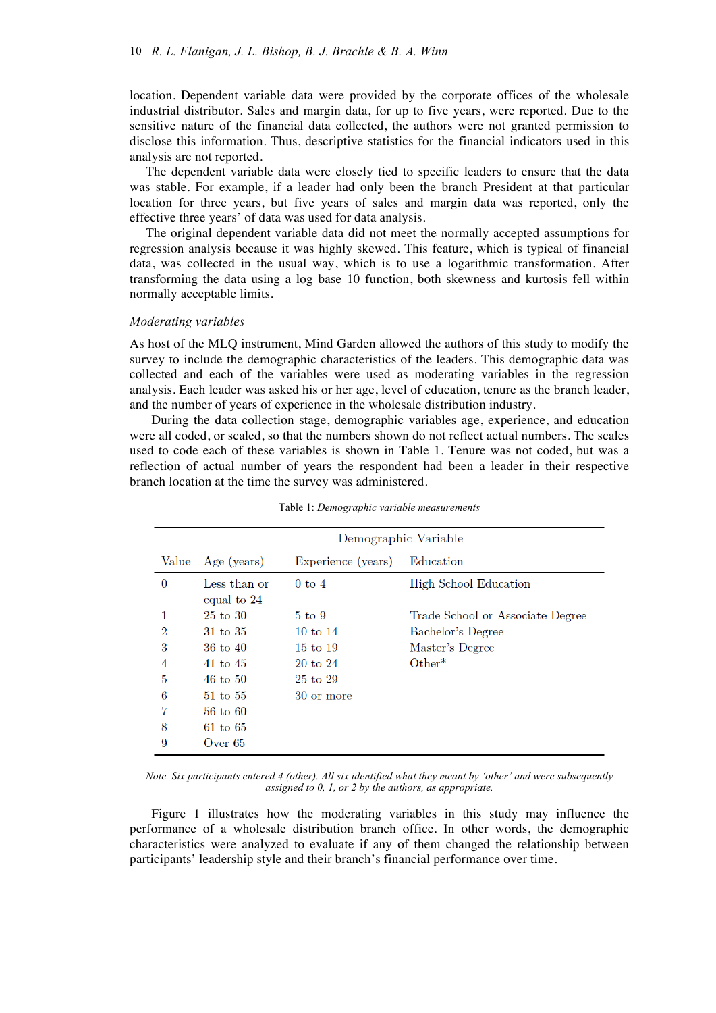location. Dependent variable data were provided by the corporate offices of the wholesale industrial distributor. Sales and margin data, for up to five years, were reported. Due to the sensitive nature of the financial data collected, the authors were not granted permission to disclose this information. Thus, descriptive statistics for the financial indicators used in this analysis are not reported.

The dependent variable data were closely tied to specific leaders to ensure that the data was stable. For example, if a leader had only been the branch President at that particular location for three years, but five years of sales and margin data was reported, only the effective three years' of data was used for data analysis.

The original dependent variable data did not meet the normally accepted assumptions for regression analysis because it was highly skewed. This feature, which is typical of financial data, was collected in the usual way, which is to use a logarithmic transformation. After transforming the data using a log base 10 function, both skewness and kurtosis fell within normally acceptable limits.

#### *Moderating variables*

As host of the MLQ instrument, Mind Garden allowed the authors of this study to modify the survey to include the demographic characteristics of the leaders. This demographic data was collected and each of the variables were used as moderating variables in the regression analysis. Each leader was asked his or her age, level of education, tenure as the branch leader, and the number of years of experience in the wholesale distribution industry.

During the data collection stage, demographic variables age, experience, and education were all coded, or scaled, so that the numbers shown do not reflect actual numbers. The scales used to code each of these variables is shown in Table 1. Tenure was not coded, but was a reflection of actual number of years the respondent had been a leader in their respective branch location at the time the survey was administered.

|                | Demographic Variable        |                    |                                  |  |  |  |  |  |
|----------------|-----------------------------|--------------------|----------------------------------|--|--|--|--|--|
| Value          | Age (years)                 | Experience (years) | Education                        |  |  |  |  |  |
| $\Omega$       | Less than or<br>equal to 24 | $0 \text{ to } 4$  | High School Education            |  |  |  |  |  |
|                | $25 \text{ to } 30$         | $5 \text{ to } 9$  | Trade School or Associate Degree |  |  |  |  |  |
| $\overline{2}$ | 31 to 35                    | 10 to $14$         | Bachelor's Degree                |  |  |  |  |  |
| 3              | $36 \text{ to } 40$         | 15 to 19           | Master's Degree                  |  |  |  |  |  |
| 4              | 41 to $45$                  | 20 to 24           | $Other*$                         |  |  |  |  |  |
| 5              | $46$ to $50$                | 25 to 29           |                                  |  |  |  |  |  |
| 6              | 51 to 55                    | 30 or more         |                                  |  |  |  |  |  |
|                | $56$ to $60$                |                    |                                  |  |  |  |  |  |
| 8              | $61$ to $65$                |                    |                                  |  |  |  |  |  |
| 9              | Over $65$                   |                    |                                  |  |  |  |  |  |

Table 1: *Demographic variable measurements*

*Note. Six participants entered 4 (other). All six identified what they meant by 'other' and were subsequently assigned to 0, 1, or 2 by the authors, as appropriate.*

Figure 1 illustrates how the moderating variables in this study may influence the performance of a wholesale distribution branch office. In other words, the demographic characteristics were analyzed to evaluate if any of them changed the relationship between participants' leadership style and their branch's financial performance over time.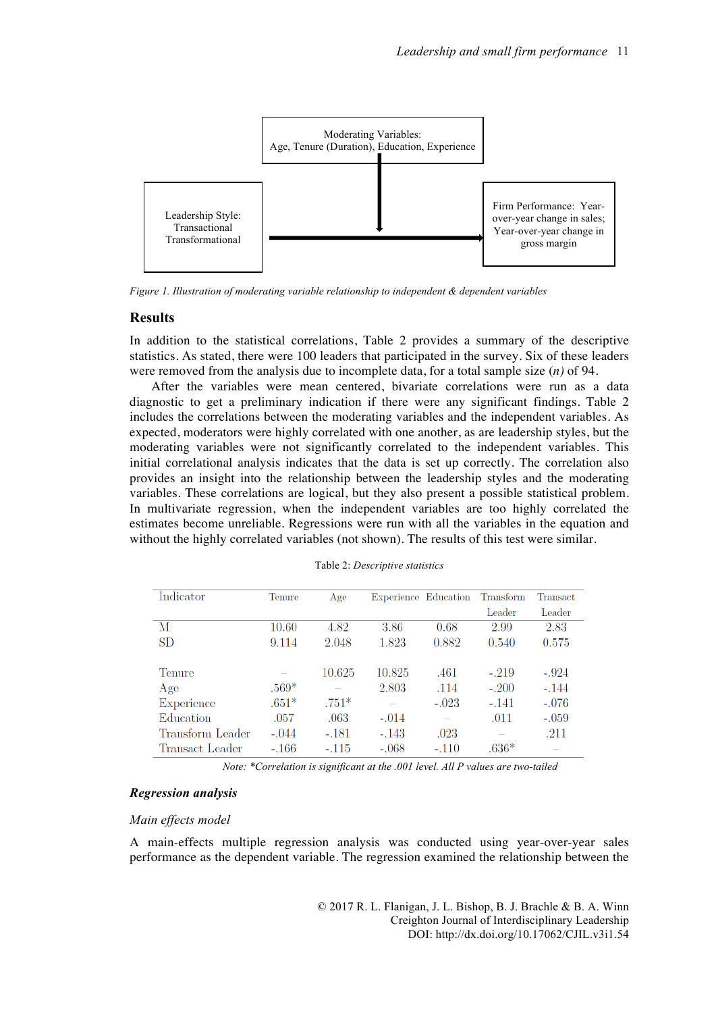

*Figure 1. Illustration of moderating variable relationship to independent & dependent variables*

## **Results**

In addition to the statistical correlations, Table 2 provides a summary of the descriptive statistics. As stated, there were 100 leaders that participated in the survey. Six of these leaders were removed from the analysis due to incomplete data, for a total sample size (*n)* of 94.

After the variables were mean centered, bivariate correlations were run as a data diagnostic to get a preliminary indication if there were any significant findings. Table 2 includes the correlations between the moderating variables and the independent variables. As expected, moderators were highly correlated with one another, as are leadership styles, but the moderating variables were not significantly correlated to the independent variables. This initial correlational analysis indicates that the data is set up correctly. The correlation also provides an insight into the relationship between the leadership styles and the moderating variables. These correlations are logical, but they also present a possible statistical problem. In multivariate regression, when the independent variables are too highly correlated the estimates become unreliable. Regressions were run with all the variables in the equation and without the highly correlated variables (not shown). The results of this test were similar.

| Indicator        | Tenure  | Age     |         | Experience Education | Transform | <b>Transact</b> |
|------------------|---------|---------|---------|----------------------|-----------|-----------------|
|                  |         |         |         |                      | Leader    | Leader          |
| М                | 10.60   | 4.82    | 3.86    | 0.68                 | 2.99      | 2.83            |
| <b>SD</b>        | 9.114   | 2.048   | 1.823   | 0.882                | 0.540     | 0.575           |
|                  |         |         |         |                      |           |                 |
| Tenure           |         | 10.625  | 10.825  | .461                 | $-.219$   | $-.924$         |
| Age              | $.569*$ |         | 2.803   | .114                 | $-.200$   | $-.144$         |
| Experience       | $.651*$ | $.751*$ |         | $-.023$              | $-.141$   | $-.076$         |
| Education        | .057    | .063    | $-.014$ |                      | .011      | $-.059$         |
| Transform Leader | $-.044$ | $-.181$ | $-.143$ | .023                 |           | .211            |
| Transact Leader  | $-.166$ | $-.115$ | $-.068$ | $-.110$              | $.636*$   |                 |

Table 2: *Descriptive statistics*

*Note: \*Correlation is significant at the .001 level. All P values are two-tailed*

## *Regression analysis*

## *Main effects model*

A main-effects multiple regression analysis was conducted using year-over-year sales performance as the dependent variable. The regression examined the relationship between the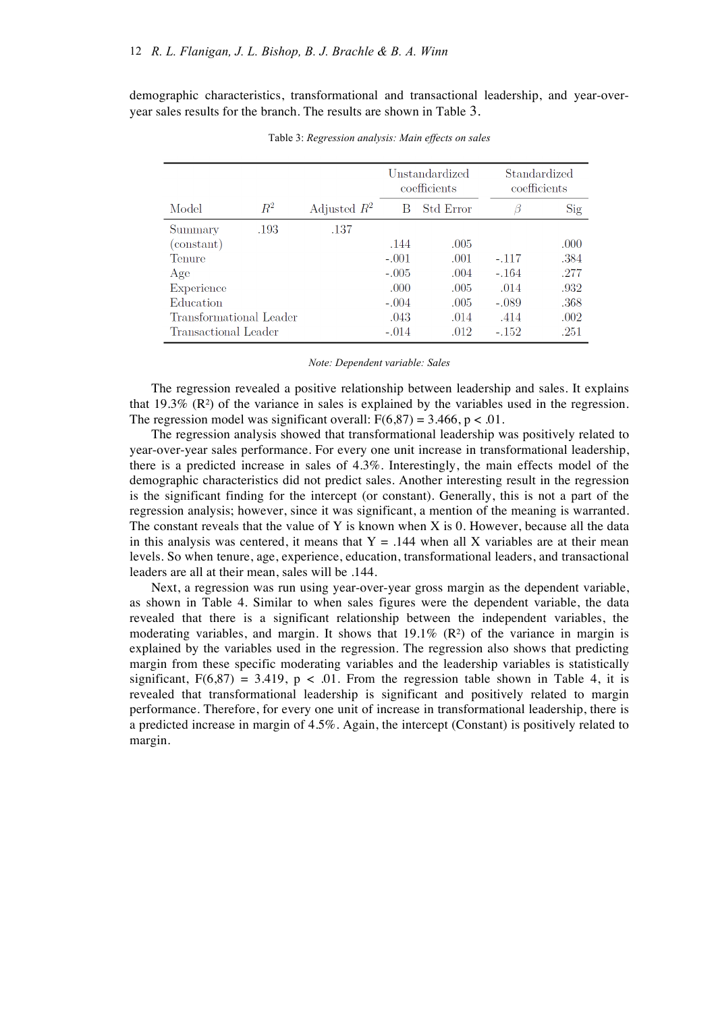demographic characteristics, transformational and transactional leadership, and year-overyear sales results for the branch. The results are shown in Table 3.

|                         |       |                | Unstandardized<br>coefficients |           |         | Standardized<br>coefficients |
|-------------------------|-------|----------------|--------------------------------|-----------|---------|------------------------------|
| Model                   | $R^2$ | Adjusted $R^2$ | B                              | Std Error | В       | Sig                          |
| Summary                 | .193  | .137           |                                |           |         |                              |
| (constant)              |       |                | .144                           | .005      |         | .000                         |
| Tenure                  |       |                | $-.001$                        | .001      | $-.117$ | .384                         |
| Age                     |       |                | $-.005$                        | .004      | $-164$  | .277                         |
| Experience              |       |                | .000                           | .005      | .014    | .932                         |
| Education               |       |                | $-.004$                        | .005      | $-.089$ | .368                         |
| Transformational Leader |       |                | .043                           | .014      | .414    | .002                         |
| Transactional Leader    |       |                | $-.014$                        | .012      | $-152$  | .251                         |

Table 3: *Regression analysis: Main effects on sales*

#### *Note: Dependent variable: Sales*

The regression revealed a positive relationship between leadership and sales. It explains that  $19.3\%$  (R<sup>2</sup>) of the variance in sales is explained by the variables used in the regression. The regression model was significant overall:  $F(6,87) = 3.466$ ,  $p < .01$ .

The regression analysis showed that transformational leadership was positively related to year-over-year sales performance. For every one unit increase in transformational leadership, there is a predicted increase in sales of 4.3%. Interestingly, the main effects model of the demographic characteristics did not predict sales. Another interesting result in the regression is the significant finding for the intercept (or constant). Generally, this is not a part of the regression analysis; however, since it was significant, a mention of the meaning is warranted. The constant reveals that the value of Y is known when X is 0. However, because all the data in this analysis was centered, it means that  $Y = .144$  when all X variables are at their mean levels. So when tenure, age, experience, education, transformational leaders, and transactional leaders are all at their mean, sales will be .144.

Next, a regression was run using year-over-year gross margin as the dependent variable, as shown in Table 4. Similar to when sales figures were the dependent variable, the data revealed that there is a significant relationship between the independent variables, the moderating variables, and margin. It shows that  $19.1\%$  (R<sup>2</sup>) of the variance in margin is explained by the variables used in the regression. The regression also shows that predicting margin from these specific moderating variables and the leadership variables is statistically significant,  $F(6,87) = 3.419$ ,  $p < .01$ . From the regression table shown in Table 4, it is revealed that transformational leadership is significant and positively related to margin performance. Therefore, for every one unit of increase in transformational leadership, there is a predicted increase in margin of 4.5%. Again, the intercept (Constant) is positively related to margin.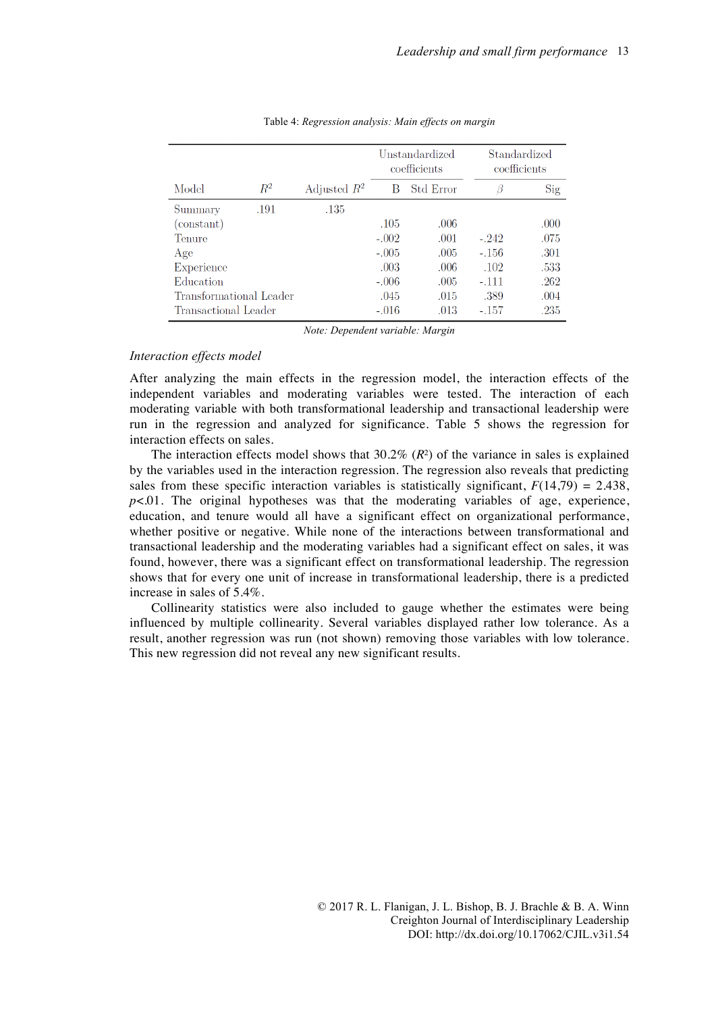|                         |       |                | Unstandardized<br>coefficients |                  |         | Standardized<br>coefficients |
|-------------------------|-------|----------------|--------------------------------|------------------|---------|------------------------------|
| Model                   | $R^2$ | Adjusted $R^2$ | B                              | <b>Std Error</b> | В       | Sig                          |
| Summary                 | .191  | .135           |                                |                  |         |                              |
| (constant)              |       |                | .105                           | .006             |         | .000                         |
| Tenure                  |       |                | $-.002$                        | .001             | $-242$  | .075                         |
| Age                     |       |                | $-.005$                        | .005             | $-.156$ | .301                         |
| Experience              |       |                | .003                           | .006             | .102    | .533                         |
| Education               |       |                | $-.006$                        | .005             | $-.111$ | .262                         |
| Transformational Leader |       |                | .045                           | .015             | .389    | .004                         |
| Transactional Leader    |       |                | $-.016$                        | .013             | $-.157$ | .235                         |

#### Table 4: *Regression analysis: Main effects on margin*

*Note: Dependent variable: Margin*

## *Interaction effects model*

After analyzing the main effects in the regression model, the interaction effects of the independent variables and moderating variables were tested. The interaction of each moderating variable with both transformational leadership and transactional leadership were run in the regression and analyzed for significance. Table 5 shows the regression for interaction effects on sales.

The interaction effects model shows that  $30.2\%$  ( $R<sup>2</sup>$ ) of the variance in sales is explained by the variables used in the interaction regression. The regression also reveals that predicting sales from these specific interaction variables is statistically significant,  $F(14,79) = 2.438$ ,  $p<.01$ . The original hypotheses was that the moderating variables of age, experience, education, and tenure would all have a significant effect on organizational performance, whether positive or negative. While none of the interactions between transformational and transactional leadership and the moderating variables had a significant effect on sales, it was found, however, there was a significant effect on transformational leadership. The regression shows that for every one unit of increase in transformational leadership, there is a predicted increase in sales of 5.4%.

Collinearity statistics were also included to gauge whether the estimates were being influenced by multiple collinearity. Several variables displayed rather low tolerance. As a result, another regression was run (not shown) removing those variables with low tolerance. This new regression did not reveal any new significant results.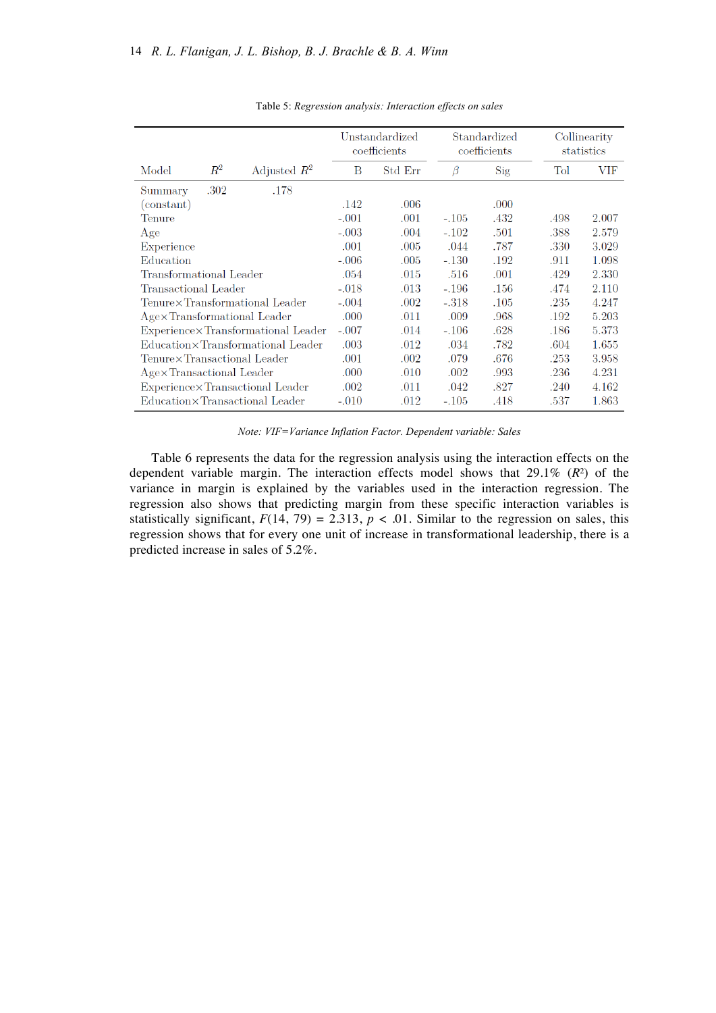|                                    |         |                                   |         | Unstandardized<br>coefficients | Standardized<br>coefficients |      |      | Collinearity<br>statistics |
|------------------------------------|---------|-----------------------------------|---------|--------------------------------|------------------------------|------|------|----------------------------|
| Model                              | $\,R^2$ | Adjusted $R^2$                    | B       | Std Err                        | Β                            | Sig  | Tol  | VIF                        |
| Summary                            | .302    | .178                              |         |                                |                              |      |      |                            |
| (constant)                         |         |                                   | .142    | $.006\,$                       |                              | .000 |      |                            |
| Tenure                             |         |                                   | $-.001$ | .001                           | $-.105$                      | .432 | .498 | 2.007                      |
| Age                                |         |                                   | $-.003$ | .004                           | $-.102$                      | .501 | .388 | 2.579                      |
| Experience                         |         |                                   | .001    | .005                           | .044                         | .787 | .330 | 3.029                      |
| Education                          |         |                                   | $-.006$ | .005                           | $-.130$                      | .192 | .911 | 1.098                      |
| Transformational Leader            |         |                                   | .054    | .015                           | .516                         | .001 | .429 | 2.330                      |
| Transactional Leader               |         |                                   | $-.018$ | .013                           | $-.196$                      | .156 | .474 | 2.110                      |
|                                    |         | Tenure×Transformational Leader    | $-.004$ | .002                           | $-.318$                      | .105 | .235 | 4.247                      |
| Age×Transformational Leader        |         |                                   | .000    | .011                           | .009                         | .968 | .192 | 5.203                      |
| Experience×Transformational Leader |         |                                   | $-.007$ | .014                           | $-.106$                      | .628 | .186 | 5.373                      |
|                                    |         | Education×Transformational Leader | .003    | .012                           | .034                         | .782 | .604 | 1.655                      |
| Tenure×Transactional Leader        |         |                                   | .001    | .002                           | .079                         | .676 | .253 | 3.958                      |
| Age×Transactional Leader           |         |                                   | .000    | .010                           | .002                         | .993 | .236 | 4.231                      |
| Experience×Transactional Leader    |         |                                   | .002    | .011                           | .042                         | .827 | .240 | 4.162                      |
| Education×Transactional Leader     |         |                                   | $-.010$ | .012                           | $-.105$                      | .418 | .537 | 1.863                      |

Table 5: *Regression analysis: Interaction effects on sales*

*Note: VIF=Variance Inflation Factor. Dependent variable: Sales*

Table 6 represents the data for the regression analysis using the interaction effects on the dependent variable margin. The interaction effects model shows that 29.1% (*R*²) of the variance in margin is explained by the variables used in the interaction regression. The regression also shows that predicting margin from these specific interaction variables is statistically significant,  $F(14, 79) = 2.313$ ,  $p < .01$ . Similar to the regression on sales, this regression shows that for every one unit of increase in transformational leadership, there is a predicted increase in sales of 5.2%.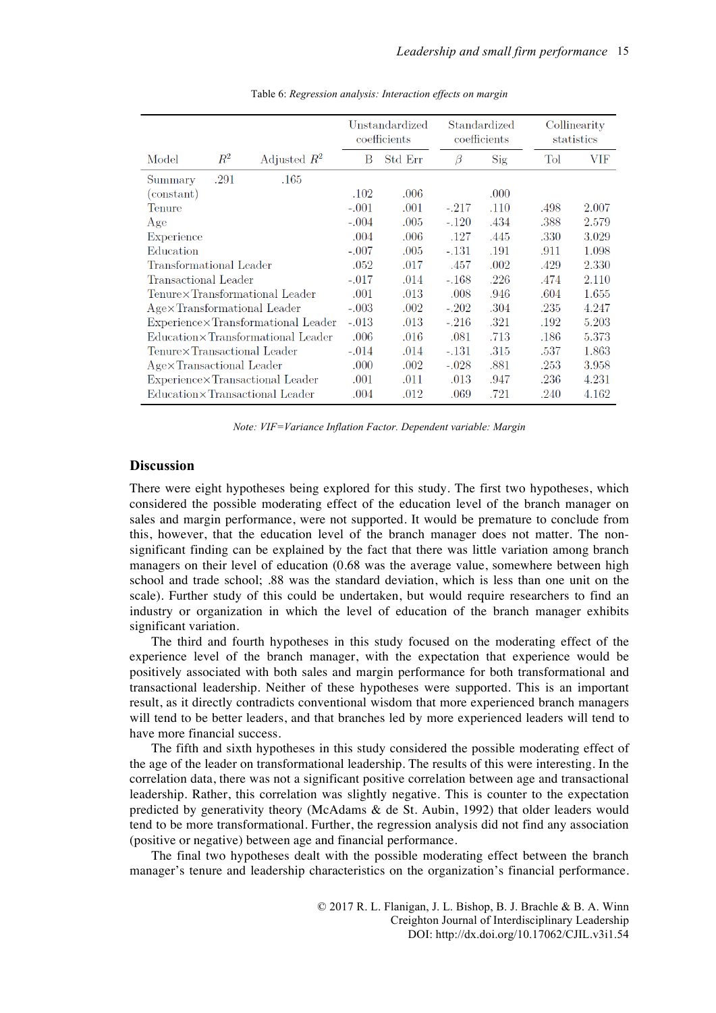|                                                          |         |                                  | Unstandardized<br>coefficients |         | Standardized<br>coefficients |      |       | Collinearity<br>statistics |
|----------------------------------------------------------|---------|----------------------------------|--------------------------------|---------|------------------------------|------|-------|----------------------------|
| Model                                                    | $\,R^2$ | Adjusted $R^2$                   | B                              | Std Err | B                            | Sig  | Tol   | VIF                        |
| Summary                                                  | .291    | .165                             |                                |         |                              |      |       |                            |
| $\rm (constant)$                                         |         |                                  | .102                           | .006    |                              | .000 |       |                            |
| Tenure                                                   |         |                                  | $-.001$                        | .001    | $-.217$                      | .110 | .498  | 2.007                      |
| Age                                                      |         |                                  | $-.004$                        | .005    | $-.120$                      | .434 | .388  | 2.579                      |
| Experience                                               |         |                                  | .004                           | .006    | .127                         | .445 | .330  | 3.029                      |
| Education                                                |         |                                  | $-.007$                        | .005    | $-.131$                      | .191 | .911  | 1.098                      |
| Transformational Leader                                  |         | .052                             | .017                           | .457    | .002                         | .429 | 2.330 |                            |
| Transactional Leader                                     |         | $-.017$                          | .014                           | $-.168$ | .226                         | .474 | 2.110 |                            |
|                                                          |         | Tenure×Transformational Leader   | .001                           | .013    | .008                         | .946 | .604  | 1.655                      |
| Age×Transformational Leader                              |         |                                  | $-.003$                        | .002    | $-.202$                      | .304 | .235  | 4.247                      |
| ${\rm Experience} \times {\rm Transformational\ Leader}$ |         | $-.013$                          | .013                           | $-.216$ | .321                         | .192 | 5.203 |                            |
| Education × Transformational Leader                      |         | .006                             | .016                           | .081    | .713                         | .186 | 5.373 |                            |
| Tenure×Transactional Leader                              |         | $-.014$                          | .014                           | $-.131$ | .315                         | .537 | 1.863 |                            |
| Age×Transactional Leader                                 |         | .000                             | .002                           | $-.028$ | .881                         | .253 | 3.958 |                            |
| Experience×Transactional Leader                          |         |                                  | .001                           | .011    | .013                         | .947 | .236  | 4.231                      |
|                                                          |         | Education × Transactional Leader |                                |         | .069                         | .721 | .240  | 4.162                      |

Table 6: *Regression analysis: Interaction effects on margin*

*Note: VIF=Variance Inflation Factor. Dependent variable: Margin*

## **Discussion**

There were eight hypotheses being explored for this study. The first two hypotheses, which considered the possible moderating effect of the education level of the branch manager on sales and margin performance, were not supported. It would be premature to conclude from this, however, that the education level of the branch manager does not matter. The nonsignificant finding can be explained by the fact that there was little variation among branch managers on their level of education (0.68 was the average value, somewhere between high school and trade school; .88 was the standard deviation, which is less than one unit on the scale). Further study of this could be undertaken, but would require researchers to find an industry or organization in which the level of education of the branch manager exhibits significant variation.

The third and fourth hypotheses in this study focused on the moderating effect of the experience level of the branch manager, with the expectation that experience would be positively associated with both sales and margin performance for both transformational and transactional leadership. Neither of these hypotheses were supported. This is an important result, as it directly contradicts conventional wisdom that more experienced branch managers will tend to be better leaders, and that branches led by more experienced leaders will tend to have more financial success.

The fifth and sixth hypotheses in this study considered the possible moderating effect of the age of the leader on transformational leadership. The results of this were interesting. In the correlation data, there was not a significant positive correlation between age and transactional leadership. Rather, this correlation was slightly negative. This is counter to the expectation predicted by generativity theory (McAdams & de St. Aubin, 1992) that older leaders would tend to be more transformational. Further, the regression analysis did not find any association (positive or negative) between age and financial performance.

The final two hypotheses dealt with the possible moderating effect between the branch manager's tenure and leadership characteristics on the organization's financial performance.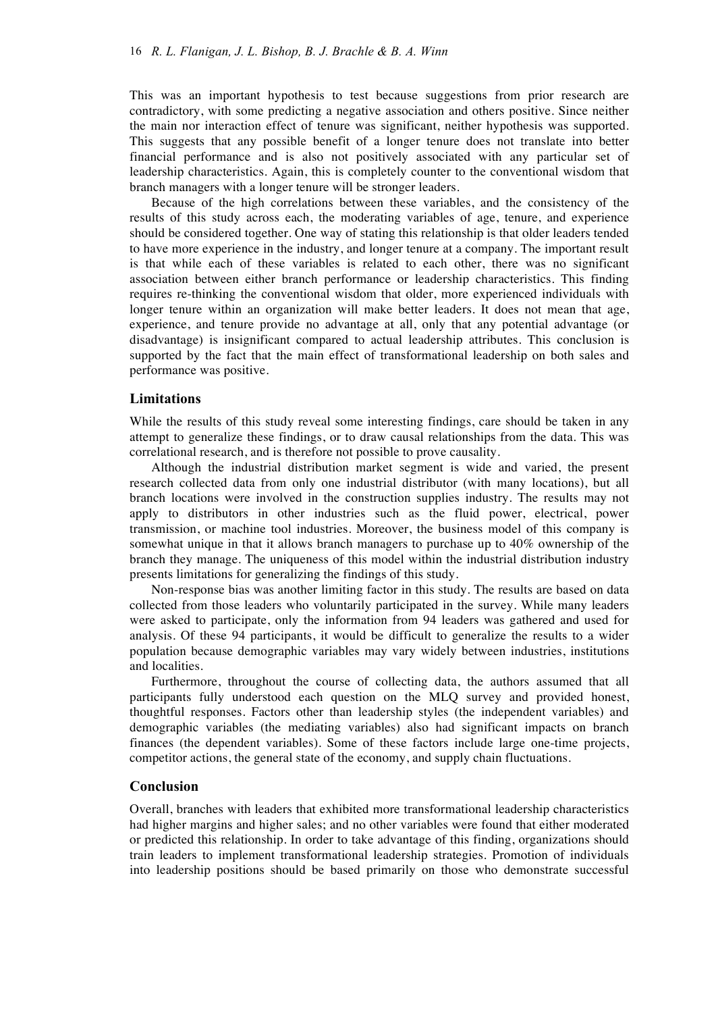This was an important hypothesis to test because suggestions from prior research are contradictory, with some predicting a negative association and others positive. Since neither the main nor interaction effect of tenure was significant, neither hypothesis was supported. This suggests that any possible benefit of a longer tenure does not translate into better financial performance and is also not positively associated with any particular set of leadership characteristics. Again, this is completely counter to the conventional wisdom that branch managers with a longer tenure will be stronger leaders.

Because of the high correlations between these variables, and the consistency of the results of this study across each, the moderating variables of age, tenure, and experience should be considered together. One way of stating this relationship is that older leaders tended to have more experience in the industry, and longer tenure at a company. The important result is that while each of these variables is related to each other, there was no significant association between either branch performance or leadership characteristics. This finding requires re-thinking the conventional wisdom that older, more experienced individuals with longer tenure within an organization will make better leaders. It does not mean that age, experience, and tenure provide no advantage at all, only that any potential advantage (or disadvantage) is insignificant compared to actual leadership attributes. This conclusion is supported by the fact that the main effect of transformational leadership on both sales and performance was positive.

## **Limitations**

While the results of this study reveal some interesting findings, care should be taken in any attempt to generalize these findings, or to draw causal relationships from the data. This was correlational research, and is therefore not possible to prove causality.

Although the industrial distribution market segment is wide and varied, the present research collected data from only one industrial distributor (with many locations), but all branch locations were involved in the construction supplies industry. The results may not apply to distributors in other industries such as the fluid power, electrical, power transmission, or machine tool industries. Moreover, the business model of this company is somewhat unique in that it allows branch managers to purchase up to 40% ownership of the branch they manage. The uniqueness of this model within the industrial distribution industry presents limitations for generalizing the findings of this study.

Non-response bias was another limiting factor in this study. The results are based on data collected from those leaders who voluntarily participated in the survey. While many leaders were asked to participate, only the information from 94 leaders was gathered and used for analysis. Of these 94 participants, it would be difficult to generalize the results to a wider population because demographic variables may vary widely between industries, institutions and localities.

Furthermore, throughout the course of collecting data, the authors assumed that all participants fully understood each question on the MLQ survey and provided honest, thoughtful responses. Factors other than leadership styles (the independent variables) and demographic variables (the mediating variables) also had significant impacts on branch finances (the dependent variables). Some of these factors include large one-time projects, competitor actions, the general state of the economy, and supply chain fluctuations.

## **Conclusion**

Overall, branches with leaders that exhibited more transformational leadership characteristics had higher margins and higher sales; and no other variables were found that either moderated or predicted this relationship. In order to take advantage of this finding, organizations should train leaders to implement transformational leadership strategies. Promotion of individuals into leadership positions should be based primarily on those who demonstrate successful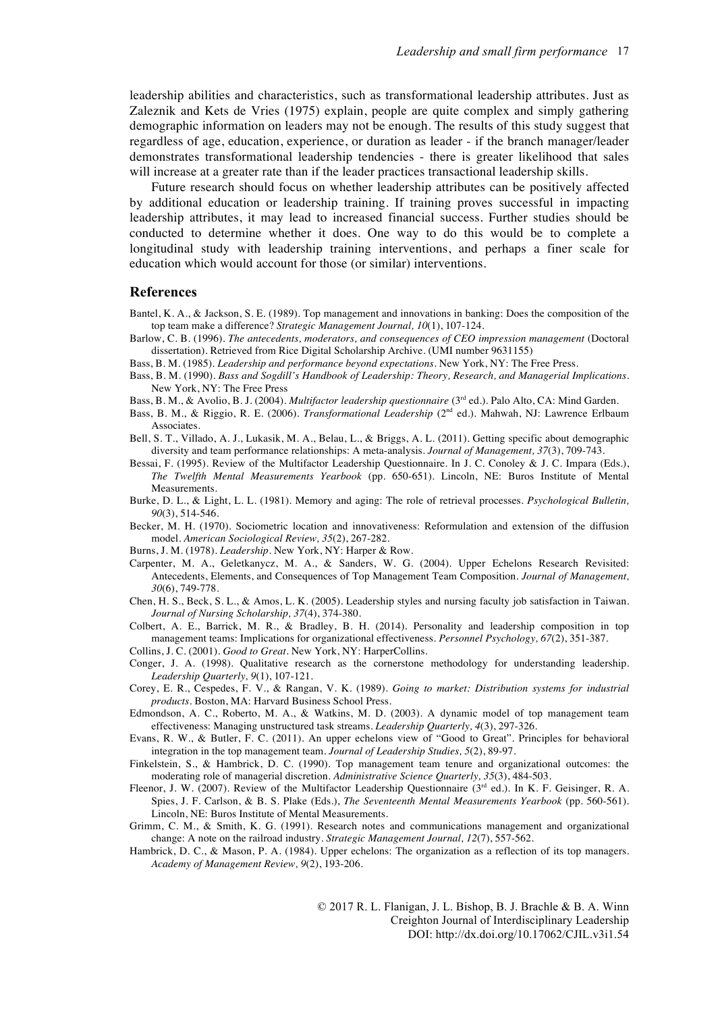leadership abilities and characteristics, such as transformational leadership attributes. Just as Zaleznik and Kets de Vries (1975) explain, people are quite complex and simply gathering demographic information on leaders may not be enough. The results of this study suggest that regardless of age, education, experience, or duration as leader - if the branch manager/leader demonstrates transformational leadership tendencies - there is greater likelihood that sales will increase at a greater rate than if the leader practices transactional leadership skills.

Future research should focus on whether leadership attributes can be positively affected by additional education or leadership training. If training proves successful in impacting leadership attributes, it may lead to increased financial success. Further studies should be conducted to determine whether it does. One way to do this would be to complete a longitudinal study with leadership training interventions, and perhaps a finer scale for education which would account for those (or similar) interventions.

#### **References**

- Bantel, K. A., & Jackson, S. E. (1989). Top management and innovations in banking: Does the composition of the top team make a difference? *Strategic Management Journal, 10*(1), 107-124.
- Barlow, C. B. (1996). *The antecedents, moderators, and consequences of CEO impression management* (Doctoral dissertation). Retrieved from Rice Digital Scholarship Archive. (UMI number 9631155)
- Bass, B. M. (1985). *Leadership and performance beyond expectations.* New York, NY: The Free Press.
- Bass, B. M. (1990). *Bass and Sogdill's Handbook of Leadership: Theory, Research, and Managerial Implications.* New York, NY: The Free Press
- Bass, B. M., & Avolio, B. J. (2004). *Multifactor leadership questionnaire* (3rd ed.). Palo Alto, CA: Mind Garden.
- Bass, B. M., & Riggio, R. E. (2006). *Transformational Leadership* (2nd ed.)*.* Mahwah, NJ: Lawrence Erlbaum Associates.
- Bell, S. T., Villado, A. J., Lukasik, M. A., Belau, L., & Briggs, A. L. (2011). Getting specific about demographic diversity and team performance relationships: A meta-analysis. *Journal of Management, 37*(3), 709-743.
- Bessai, F. (1995). Review of the Multifactor Leadership Questionnaire. In J. C. Conoley & J. C. Impara (Eds.), *The Twelfth Mental Measurements Yearbook* (pp. 650-651). Lincoln, NE: Buros Institute of Mental Measurements.
- Burke, D. L., & Light, L. L. (1981). Memory and aging: The role of retrieval processes. *Psychological Bulletin, 90*(3), 514-546.
- Becker, M. H. (1970). Sociometric location and innovativeness: Reformulation and extension of the diffusion model. *American Sociological Review, 35*(2), 267-282.
- Burns, J. M. (1978). *Leadership.* New York, NY: Harper & Row.
- Carpenter, M. A., Geletkanycz, M. A., & Sanders, W. G. (2004). Upper Echelons Research Revisited: Antecedents, Elements, and Consequences of Top Management Team Composition. *Journal of Management, 30*(6), 749-778.
- Chen, H. S., Beck, S. L., & Amos, L. K. (2005). Leadership styles and nursing faculty job satisfaction in Taiwan. *Journal of Nursing Scholarship, 37*(4), 374-380.
- Colbert, A. E., Barrick, M. R., & Bradley, B. H. (2014). Personality and leadership composition in top management teams: Implications for organizational effectiveness. *Personnel Psychology, 67*(2), 351-387.
- Collins, J. C. (2001). *Good to Great.* New York, NY: HarperCollins.
- Conger, J. A. (1998). Qualitative research as the cornerstone methodology for understanding leadership. *Leadership Quarterly, 9*(1), 107-121.
- Corey, E. R., Cespedes, F. V., & Rangan, V. K. (1989). *Going to market: Distribution systems for industrial products.* Boston, MA: Harvard Business School Press.
- Edmondson, A. C., Roberto, M. A., & Watkins, M. D. (2003). A dynamic model of top management team effectiveness: Managing unstructured task streams. *Leadership Quarterly, 4*(3), 297-326.
- Evans, R. W., & Butler, F. C. (2011). An upper echelons view of "Good to Great". Principles for behavioral integration in the top management team. *Journal of Leadership Studies, 5*(2), 89-97.
- Finkelstein, S., & Hambrick, D. C. (1990). Top management team tenure and organizational outcomes: the moderating role of managerial discretion. *Administrative Science Quarterly, 35*(3), 484-503.
- Fleenor, J. W. (2007). Review of the Multifactor Leadership Questionnaire (3<sup>rd</sup> ed.). In K. F. Geisinger, R. A. Spies, J. F. Carlson, & B. S. Plake (Eds.), *The Seventeenth Mental Measurements Yearbook* (pp. 560-561)*.*  Lincoln, NE: Buros Institute of Mental Measurements.
- Grimm, C. M., & Smith, K. G. (1991). Research notes and communications management and organizational change: A note on the railroad industry. *Strategic Management Journal, 12*(7), 557-562.
- Hambrick, D. C., & Mason, P. A. (1984). Upper echelons: The organization as a reflection of its top managers. *Academy of Management Review, 9*(2), 193-206.

© 2017 R. L. Flanigan, J. L. Bishop, B. J. Brachle & B. A. Winn Creighton Journal of Interdisciplinary Leadership DOI: http://dx.doi.org/10.17062/CJIL.v3i1.54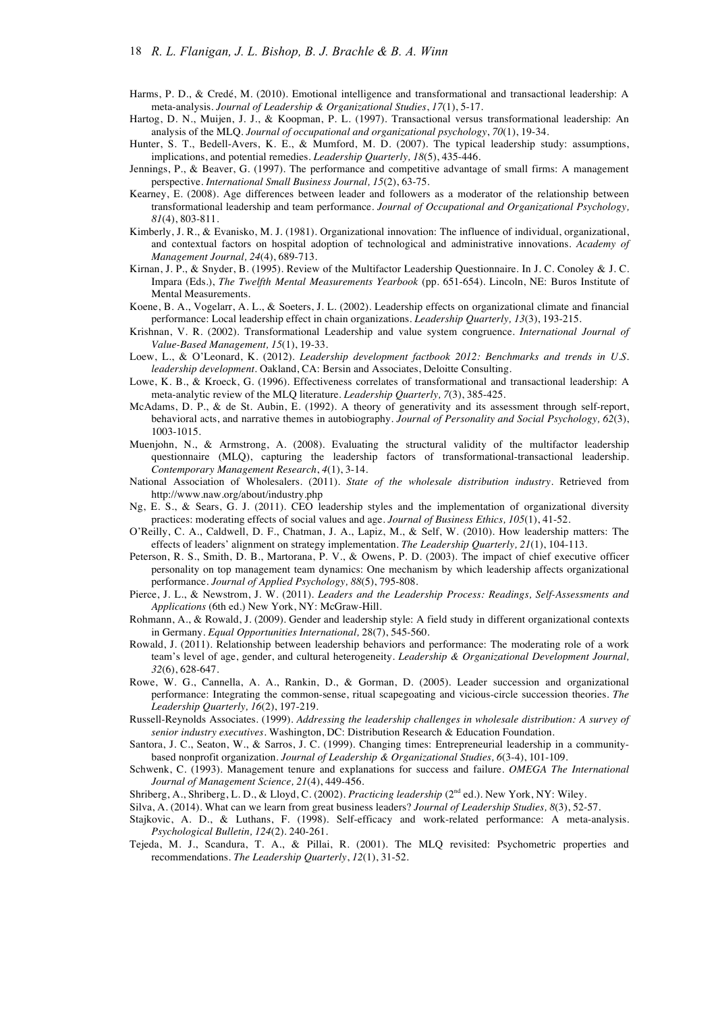- Harms, P. D., & Credé, M. (2010). Emotional intelligence and transformational and transactional leadership: A meta-analysis. *Journal of Leadership & Organizational Studies*, *17*(1), 5-17.
- Hartog, D. N., Muijen, J. J., & Koopman, P. L. (1997). Transactional versus transformational leadership: An analysis of the MLQ. *Journal of occupational and organizational psychology*, *70*(1), 19-34.
- Hunter, S. T., Bedell-Avers, K. E., & Mumford, M. D. (2007). The typical leadership study: assumptions, implications, and potential remedies. *Leadership Quarterly, 18*(5), 435-446.
- Jennings, P., & Beaver, G. (1997). The performance and competitive advantage of small firms: A management perspective. *International Small Business Journal, 15*(2), 63-75.
- Kearney, E. (2008). Age differences between leader and followers as a moderator of the relationship between transformational leadership and team performance. *Journal of Occupational and Organizational Psychology, 81*(4), 803-811.
- Kimberly, J. R., & Evanisko, M. J. (1981). Organizational innovation: The influence of individual, organizational, and contextual factors on hospital adoption of technological and administrative innovations. *Academy of Management Journal, 24*(4), 689-713.
- Kirnan, J. P., & Snyder, B. (1995). Review of the Multifactor Leadership Questionnaire. In J. C. Conoley & J. C. Impara (Eds.), *The Twelfth Mental Measurements Yearbook* (pp. 651-654). Lincoln, NE: Buros Institute of Mental Measurements.
- Koene, B. A., Vogelarr, A. L., & Soeters, J. L. (2002). Leadership effects on organizational climate and financial performance: Local leadership effect in chain organizations. *Leadership Quarterly, 13*(3), 193-215.
- Krishnan, V. R. (2002). Transformational Leadership and value system congruence. *International Journal of Value-Based Management, 15*(1), 19-33.
- Loew, L., & O'Leonard, K. (2012). *Leadership development factbook 2012: Benchmarks and trends in U.S. leadership development.* Oakland, CA: Bersin and Associates, Deloitte Consulting.
- Lowe, K. B., & Kroeck, G. (1996). Effectiveness correlates of transformational and transactional leadership: A meta-analytic review of the MLQ literature. *Leadership Quarterly, 7*(3), 385-425.
- McAdams, D. P., & de St. Aubin, E. (1992). A theory of generativity and its assessment through self-report, behavioral acts, and narrative themes in autobiography. *Journal of Personality and Social Psychology, 62*(3), 1003-1015.
- Muenjohn, N., & Armstrong, A. (2008). Evaluating the structural validity of the multifactor leadership questionnaire (MLQ), capturing the leadership factors of transformational-transactional leadership. *Contemporary Management Research*, *4*(1), 3-14.
- National Association of Wholesalers. (2011). *State of the wholesale distribution industry.* Retrieved from http://www.naw.org/about/industry.php
- Ng, E. S., & Sears, G. J. (2011). CEO leadership styles and the implementation of organizational diversity practices: moderating effects of social values and age. *Journal of Business Ethics, 105*(1), 41-52.
- O'Reilly, C. A., Caldwell, D. F., Chatman, J. A., Lapiz, M., & Self, W. (2010). How leadership matters: The effects of leaders' alignment on strategy implementation. *The Leadership Quarterly, 21*(1), 104-113.
- Peterson, R. S., Smith, D. B., Martorana, P. V., & Owens, P. D. (2003). The impact of chief executive officer personality on top management team dynamics: One mechanism by which leadership affects organizational performance. *Journal of Applied Psychology, 88*(5), 795-808.
- Pierce, J. L., & Newstrom, J. W. (2011). *Leaders and the Leadership Process: Readings, Self-Assessments and Applications* (6th ed.) New York, NY: McGraw-Hill.
- Rohmann, A., & Rowald, J. (2009). Gender and leadership style: A field study in different organizational contexts in Germany. *Equal Opportunities International,* 28(7), 545-560.
- Rowald, J. (2011). Relationship between leadership behaviors and performance: The moderating role of a work team's level of age, gender, and cultural heterogeneity. *Leadership & Organizational Development Journal, 32*(6), 628-647.
- Rowe, W. G., Cannella, A. A., Rankin, D., & Gorman, D. (2005). Leader succession and organizational performance: Integrating the common-sense, ritual scapegoating and vicious-circle succession theories. *The Leadership Quarterly, 16*(2), 197-219.
- Russell-Reynolds Associates. (1999). *Addressing the leadership challenges in wholesale distribution: A survey of senior industry executives*. Washington, DC: Distribution Research & Education Foundation.
- Santora, J. C., Seaton, W., & Sarros, J. C. (1999). Changing times: Entrepreneurial leadership in a communitybased nonprofit organization. *Journal of Leadership & Organizational Studies, 6*(3-4), 101-109.
- Schwenk, C. (1993). Management tenure and explanations for success and failure. *OMEGA The International Journal of Management Science, 21*(4), 449-456.
- Shriberg, A., Shriberg, L. D., & Lloyd, C. (2002). *Practicing leadership* (2nd ed.). New York, NY: Wiley.

Silva, A. (2014). What can we learn from great business leaders? *Journal of Leadership Studies, 8*(3), 52-57.

- Stajkovic, A. D., & Luthans, F. (1998). Self-efficacy and work-related performance: A meta-analysis. *Psychological Bulletin, 124*(2). 240-261.
- Tejeda, M. J., Scandura, T. A., & Pillai, R. (2001). The MLQ revisited: Psychometric properties and recommendations. *The Leadership Quarterly*, *12*(1), 31-52.